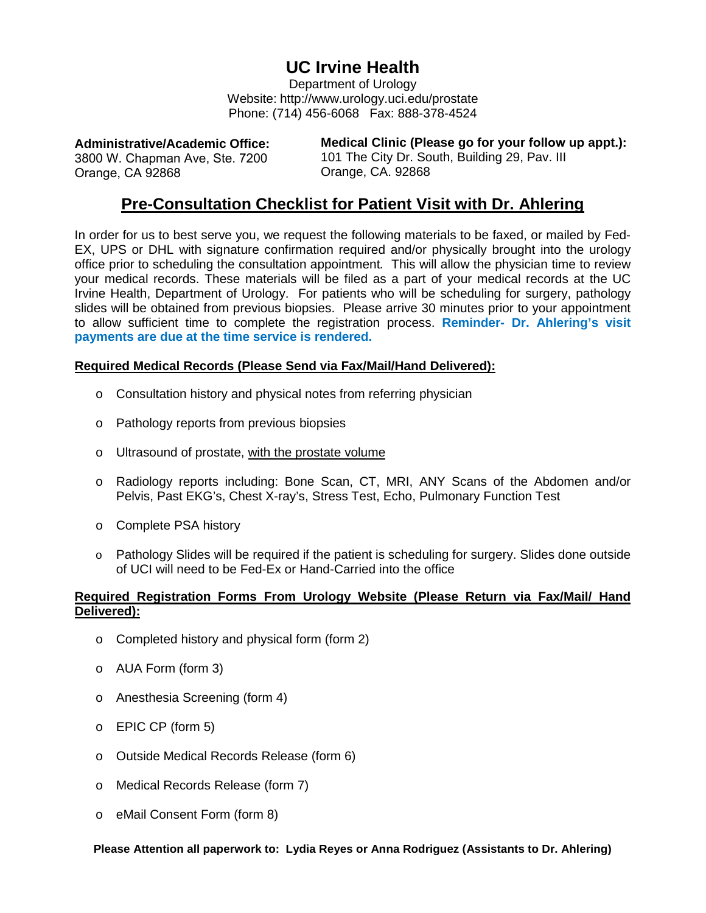## **UC Irvine Health**

Department of Urology Website: http://www.urology.uci.edu/prostate Phone: (714) 456-6068 Fax: 888-378-4524

**Administrative/Academic Office:**  3800 W. Chapman Ave, Ste. 7200 Orange, CA 92868

**Medical Clinic (Please go for your follow up appt.):**  101 The City Dr. South, Building 29, Pav. III Orange, CA. 92868

## **Pre-Consultation Checklist for Patient Visit with Dr. Ahlering**

In order for us to best serve you, we request the following materials to be faxed, or mailed by Fed-EX, UPS or DHL with signature confirmation required and/or physically brought into the urology office prior to scheduling the consultation appointment*.* This will allow the physician time to review your medical records. These materials will be filed as a part of your medical records at the UC Irvine Health, Department of Urology. For patients who will be scheduling for surgery, pathology slides will be obtained from previous biopsies. Please arrive 30 minutes prior to your appointment to allow sufficient time to complete the registration process. **Reminder- Dr. Ahlering's visit payments are due at the time service is rendered.**

## **Required Medical Records (Please Send via Fax/Mail/Hand Delivered):**

- o Consultation history and physical notes from referring physician
- o Pathology reports from previous biopsies
- o Ultrasound of prostate, with the prostate volume
- o Radiology reports including: Bone Scan, CT, MRI, ANY Scans of the Abdomen and/or Pelvis, Past EKG's, Chest X-ray's, Stress Test, Echo, Pulmonary Function Test
- o Complete PSA history
- o Pathology Slides will be required if the patient is scheduling for surgery. Slides done outside of UCI will need to be Fed-Ex or Hand-Carried into the office

## **Required Registration Forms From Urology Website (Please Return via Fax/Mail/ Hand Delivered):**

- o Completed history and physical form (form 2)
- o AUA Form (form 3)
- o Anesthesia Screening (form 4)
- o EPIC CP (form 5)
- o Outside Medical Records Release (form 6)
- o Medical Records Release (form 7)
- o eMail Consent Form (form 8)